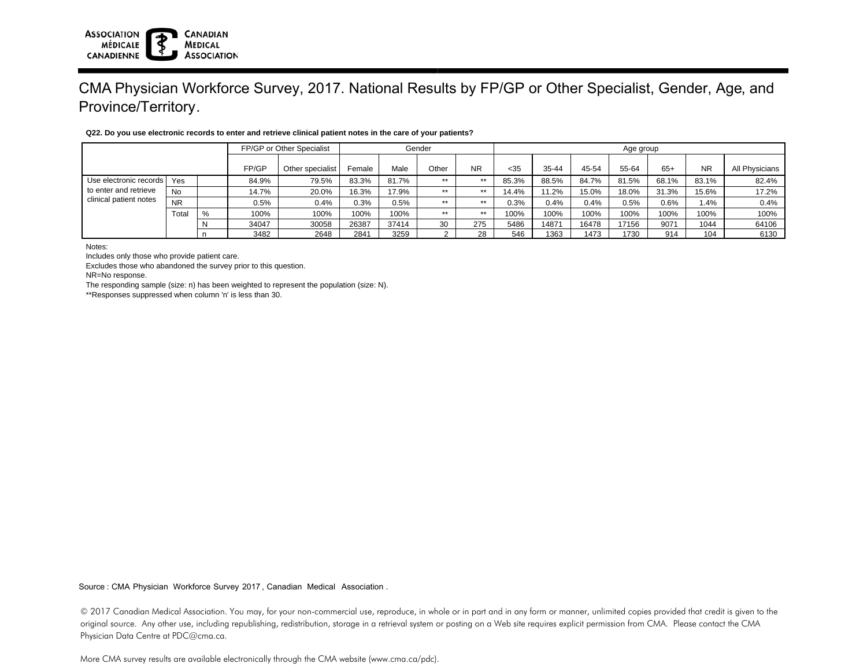#### **ASSOCIATION CANADIAN MÉDICALE MEDICAL ASSOCIATION** CANADIENNE

# CMA Physician Workforce Survey, 2017. National Results by FP/GP or Other Specialist, Gender, Age, and Province/Territory.

|                                                                             |           |   | FP/GP or Other Specialist |                  | Gender |       |       |           | Age group |       |       |       |       |           |                |  |
|-----------------------------------------------------------------------------|-----------|---|---------------------------|------------------|--------|-------|-------|-----------|-----------|-------|-------|-------|-------|-----------|----------------|--|
|                                                                             |           |   | FP/GP                     | Other specialist | Female | Male  | Other | <b>NR</b> | < 35      | 35-44 | 45-54 | 55-64 | $65+$ | <b>NR</b> | All Physicians |  |
| Use electronic records  <br>to enter and retrieve<br>clinical patient notes | Yes       |   | 84.9%                     | 79.5%            | 83.3%  | 81.7% | $**$  | $***$     | 85.3%     | 88.5% | 84.7% | 81.5% | 68.1% | 83.1%     | 82.4%          |  |
|                                                                             | <b>No</b> |   | 14.7%                     | 20.0%            | 16.3%  | 17.9% | $**$  | $***$     | 14.4%     | 11.2% | 15.0% | 18.0% | 31.3% | 15.6%     | 17.2%          |  |
|                                                                             | <b>NR</b> |   | 0.5%                      | 0.4%             | 0.3%   | 0.5%  | $**$  | $***$     | 0.3%      | 0.4%  | 0.4%  | 0.5%  | 0.6%  | 1.4%      | 0.4%           |  |
|                                                                             | Total     | % | 100%                      | 100%             | 100%   | 100%  | $**$  | $***$     | 100%      | 100%  | 100%  | 100%  | 100%  | 100%      | 100%           |  |
|                                                                             |           |   | 34047                     | 30058            | 26387  | 37414 | 30    | 275       | 5486      | 14871 | 16478 | 17156 | 9071  | 1044      | 64106          |  |
|                                                                             |           |   | 3482                      | 2648             | 2841   | 3259  |       | 28        | 546       | 1363  | 1473  | 1730  | 914   | 104       | 6130           |  |

### **Q22. Do you use electronic records to enter and retrieve clinical patient notes in the care of your patients?**

Notes:

Includes only those who provide patient care.

Excludes those who abandoned the survey prior to this question.

NR=No response.

The responding sample (size: n) has been weighted to represent the population (size: N).

\*\*Responses suppressed when column 'n' is less than 30.

Source : CMA Physician Workforce Survey 2017, Canadian Medical Association .

© 2017 Canadian Medical Association. You may, for your non-commercial use, reproduce, in whole or in part and in any form or manner, unlimited copies provided that credit is given to the original source. Any other use, including republishing, redistribution, storage in a retrieval system or posting on a Web site requires explicit permission from CMA. Please contact the CMA Physician Data Centre at PDC@cma.ca.

More CMA survey results are available electronically through the CMA website (www.cma.ca/pdc).